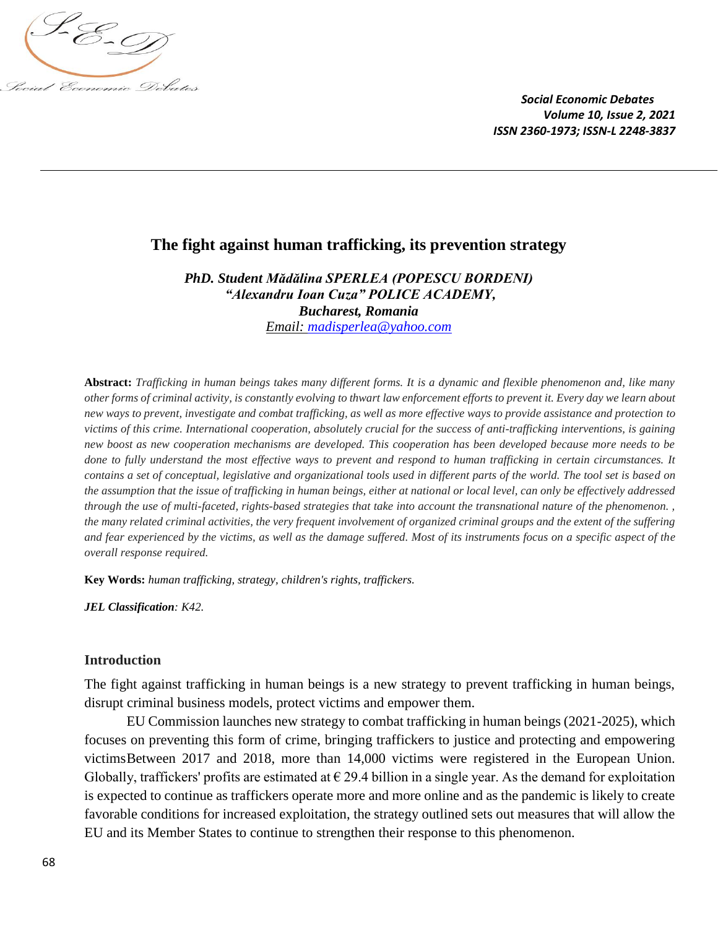

# **The fight against human trafficking, its prevention strategy**

*PhD. Student Mădălina SPERLEA (POPESCU BORDENI) "Alexandru Ioan Cuza" POLICE ACADEMY, Bucharest, Romania Email: [madisperlea@yahoo.com](mailto:madisperlea@yahoo.com)*

**Abstract:** *Trafficking in human beings takes many different forms. It is a dynamic and flexible phenomenon and, like many other forms of criminal activity, is constantly evolving to thwart law enforcement efforts to prevent it. Every day we learn about new ways to prevent, investigate and combat trafficking, as well as more effective ways to provide assistance and protection to victims of this crime. International cooperation, absolutely crucial for the success of anti-trafficking interventions, is gaining new boost as new cooperation mechanisms are developed. This cooperation has been developed because more needs to be done to fully understand the most effective ways to prevent and respond to human trafficking in certain circumstances. It contains a set of conceptual, legislative and organizational tools used in different parts of the world. The tool set is based on the assumption that the issue of trafficking in human beings, either at national or local level, can only be effectively addressed through the use of multi-faceted, rights-based strategies that take into account the transnational nature of the phenomenon.*, *the many related criminal activities, the very frequent involvement of organized criminal groups and the extent of the suffering and fear experienced by the victims, as well as the damage suffered. Most of its instruments focus on a specific aspect of the overall response required.*

**Key Words:** *human trafficking, strategy, children's rights, traffickers.*

*JEL Classification: K42.*

## **Introduction**

The fight against trafficking in human beings is a new strategy to prevent trafficking in human beings, disrupt criminal business models, protect victims and empower them.

EU Commission launches new strategy to combat trafficking in human beings (2021-2025), which focuses on preventing this form of crime, bringing traffickers to justice and protecting and empowering victimsBetween 2017 and 2018, more than 14,000 victims were registered in the European Union. Globally, traffickers' profits are estimated at  $\epsilon$  29.4 billion in a single year. As the demand for exploitation is expected to continue as traffickers operate more and more online and as the pandemic is likely to create favorable conditions for increased exploitation, the strategy outlined sets out measures that will allow the EU and its Member States to continue to strengthen their response to this phenomenon.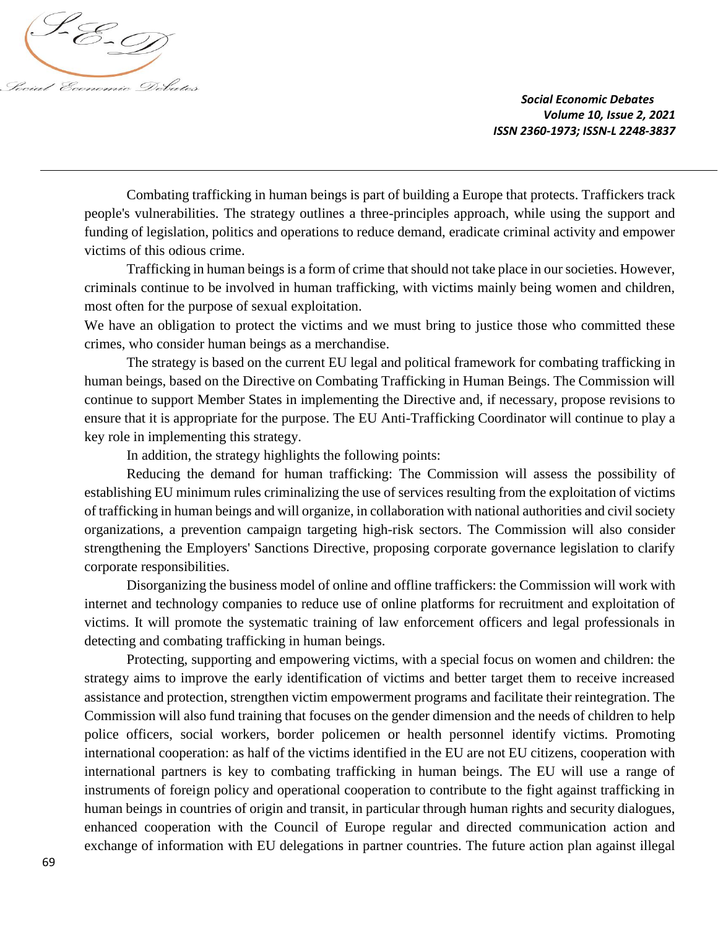

Combating trafficking in human beings is part of building a Europe that protects. Traffickers track people's vulnerabilities. The strategy outlines a three-principles approach, while using the support and funding of legislation, politics and operations to reduce demand, eradicate criminal activity and empower victims of this odious crime.

Trafficking in human beings is a form of crime that should not take place in our societies. However, criminals continue to be involved in human trafficking, with victims mainly being women and children, most often for the purpose of sexual exploitation.

We have an obligation to protect the victims and we must bring to justice those who committed these crimes, who consider human beings as a merchandise.

The strategy is based on the current EU legal and political framework for combating trafficking in human beings, based on the Directive on Combating Trafficking in Human Beings. The Commission will continue to support Member States in implementing the Directive and, if necessary, propose revisions to ensure that it is appropriate for the purpose. The EU Anti-Trafficking Coordinator will continue to play a key role in implementing this strategy.

In addition, the strategy highlights the following points:

Reducing the demand for human trafficking: The Commission will assess the possibility of establishing EU minimum rules criminalizing the use of services resulting from the exploitation of victims of trafficking in human beings and will organize, in collaboration with national authorities and civil society organizations, a prevention campaign targeting high-risk sectors. The Commission will also consider strengthening the Employers' Sanctions Directive, proposing corporate governance legislation to clarify corporate responsibilities.

Disorganizing the business model of online and offline traffickers: the Commission will work with internet and technology companies to reduce use of online platforms for recruitment and exploitation of victims. It will promote the systematic training of law enforcement officers and legal professionals in detecting and combating trafficking in human beings.

Protecting, supporting and empowering victims, with a special focus on women and children: the strategy aims to improve the early identification of victims and better target them to receive increased assistance and protection, strengthen victim empowerment programs and facilitate their reintegration. The Commission will also fund training that focuses on the gender dimension and the needs of children to help police officers, social workers, border policemen or health personnel identify victims. Promoting international cooperation: as half of the victims identified in the EU are not EU citizens, cooperation with international partners is key to combating trafficking in human beings. The EU will use a range of instruments of foreign policy and operational cooperation to contribute to the fight against trafficking in human beings in countries of origin and transit, in particular through human rights and security dialogues, enhanced cooperation with the Council of Europe regular and directed communication action and exchange of information with EU delegations in partner countries. The future action plan against illegal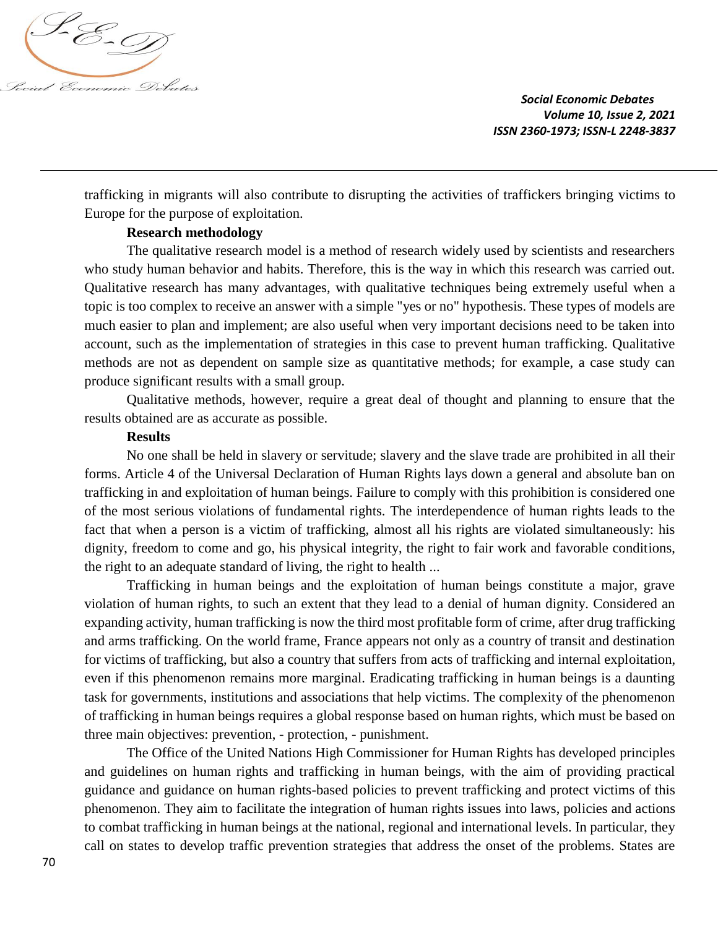

trafficking in migrants will also contribute to disrupting the activities of traffickers bringing victims to Europe for the purpose of exploitation.

## **Research methodology**

The qualitative research model is a method of research widely used by scientists and researchers who study human behavior and habits. Therefore, this is the way in which this research was carried out. Qualitative research has many advantages, with qualitative techniques being extremely useful when a topic is too complex to receive an answer with a simple "yes or no" hypothesis. These types of models are much easier to plan and implement; are also useful when very important decisions need to be taken into account, such as the implementation of strategies in this case to prevent human trafficking. Qualitative methods are not as dependent on sample size as quantitative methods; for example, a case study can produce significant results with a small group.

Qualitative methods, however, require a great deal of thought and planning to ensure that the results obtained are as accurate as possible.

#### **Results**

No one shall be held in slavery or servitude; slavery and the slave trade are prohibited in all their forms. Article 4 of the Universal Declaration of Human Rights lays down a general and absolute ban on trafficking in and exploitation of human beings. Failure to comply with this prohibition is considered one of the most serious violations of fundamental rights. The interdependence of human rights leads to the fact that when a person is a victim of trafficking, almost all his rights are violated simultaneously: his dignity, freedom to come and go, his physical integrity, the right to fair work and favorable conditions, the right to an adequate standard of living, the right to health ...

Trafficking in human beings and the exploitation of human beings constitute a major, grave violation of human rights, to such an extent that they lead to a denial of human dignity. Considered an expanding activity, human trafficking is now the third most profitable form of crime, after drug trafficking and arms trafficking. On the world frame, France appears not only as a country of transit and destination for victims of trafficking, but also a country that suffers from acts of trafficking and internal exploitation, even if this phenomenon remains more marginal. Eradicating trafficking in human beings is a daunting task for governments, institutions and associations that help victims. The complexity of the phenomenon of trafficking in human beings requires a global response based on human rights, which must be based on three main objectives: prevention, - protection, - punishment.

The Office of the United Nations High Commissioner for Human Rights has developed principles and guidelines on human rights and trafficking in human beings, with the aim of providing practical guidance and guidance on human rights-based policies to prevent trafficking and protect victims of this phenomenon. They aim to facilitate the integration of human rights issues into laws, policies and actions to combat trafficking in human beings at the national, regional and international levels. In particular, they call on states to develop traffic prevention strategies that address the onset of the problems. States are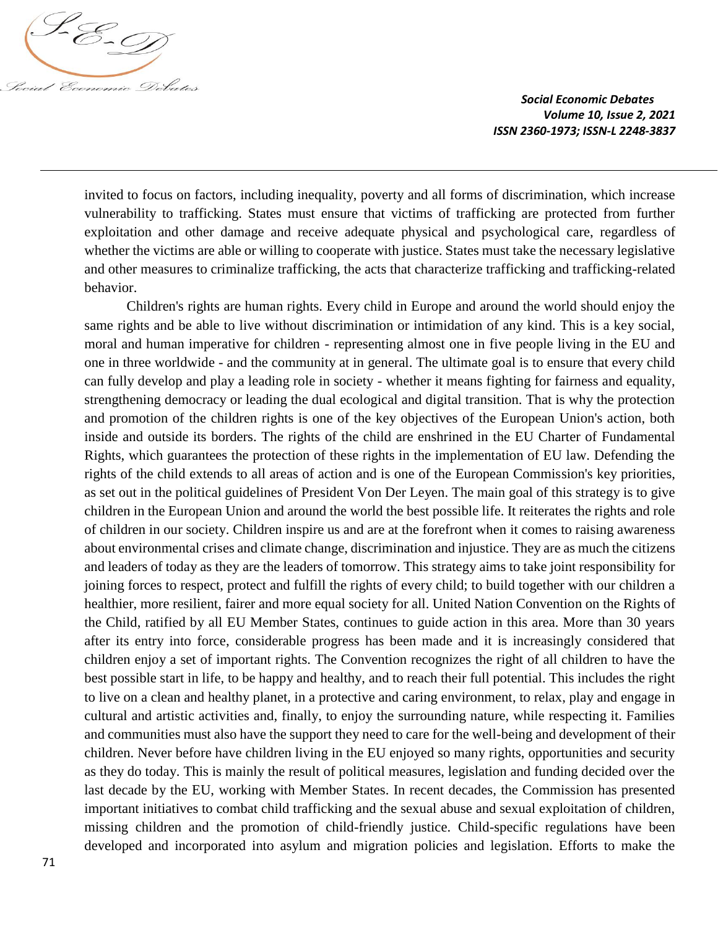

invited to focus on factors, including inequality, poverty and all forms of discrimination, which increase vulnerability to trafficking. States must ensure that victims of trafficking are protected from further exploitation and other damage and receive adequate physical and psychological care, regardless of whether the victims are able or willing to cooperate with justice. States must take the necessary legislative and other measures to criminalize trafficking, the acts that characterize trafficking and trafficking-related behavior.

Children's rights are human rights. Every child in Europe and around the world should enjoy the same rights and be able to live without discrimination or intimidation of any kind. This is a key social, moral and human imperative for children - representing almost one in five people living in the EU and one in three worldwide - and the community at in general. The ultimate goal is to ensure that every child can fully develop and play a leading role in society - whether it means fighting for fairness and equality, strengthening democracy or leading the dual ecological and digital transition. That is why the protection and promotion of the children rights is one of the key objectives of the European Union's action, both inside and outside its borders. The rights of the child are enshrined in the EU Charter of Fundamental Rights, which guarantees the protection of these rights in the implementation of EU law. Defending the rights of the child extends to all areas of action and is one of the European Commission's key priorities, as set out in the political guidelines of President Von Der Leyen. The main goal of this strategy is to give children in the European Union and around the world the best possible life. It reiterates the rights and role of children in our society. Children inspire us and are at the forefront when it comes to raising awareness about environmental crises and climate change, discrimination and injustice. They are as much the citizens and leaders of today as they are the leaders of tomorrow. This strategy aims to take joint responsibility for joining forces to respect, protect and fulfill the rights of every child; to build together with our children a healthier, more resilient, fairer and more equal society for all. United Nation Convention on the Rights of the Child, ratified by all EU Member States, continues to guide action in this area. More than 30 years after its entry into force, considerable progress has been made and it is increasingly considered that children enjoy a set of important rights. The Convention recognizes the right of all children to have the best possible start in life, to be happy and healthy, and to reach their full potential. This includes the right to live on a clean and healthy planet, in a protective and caring environment, to relax, play and engage in cultural and artistic activities and, finally, to enjoy the surrounding nature, while respecting it. Families and communities must also have the support they need to care for the well-being and development of their children. Never before have children living in the EU enjoyed so many rights, opportunities and security as they do today. This is mainly the result of political measures, legislation and funding decided over the last decade by the EU, working with Member States. In recent decades, the Commission has presented important initiatives to combat child trafficking and the sexual abuse and sexual exploitation of children, missing children and the promotion of child-friendly justice. Child-specific regulations have been developed and incorporated into asylum and migration policies and legislation. Efforts to make the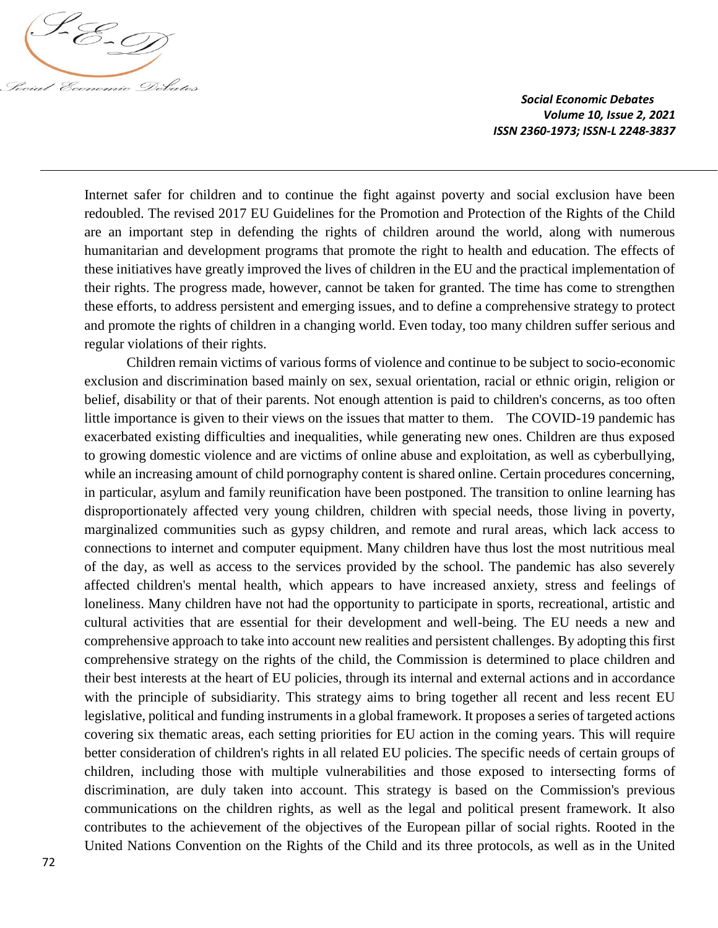

Internet safer for children and to continue the fight against poverty and social exclusion have been redoubled. The revised 2017 EU Guidelines for the Promotion and Protection of the Rights of the Child are an important step in defending the rights of children around the world, along with numerous humanitarian and development programs that promote the right to health and education. The effects of these initiatives have greatly improved the lives of children in the EU and the practical implementation of their rights. The progress made, however, cannot be taken for granted. The time has come to strengthen these efforts, to address persistent and emerging issues, and to define a comprehensive strategy to protect and promote the rights of children in a changing world. Even today, too many children suffer serious and regular violations of their rights.

Children remain victims of various forms of violence and continue to be subject to socio-economic exclusion and discrimination based mainly on sex, sexual orientation, racial or ethnic origin, religion or belief, disability or that of their parents. Not enough attention is paid to children's concerns, as too often little importance is given to their views on the issues that matter to them. The COVID-19 pandemic has exacerbated existing difficulties and inequalities, while generating new ones. Children are thus exposed to growing domestic violence and are victims of online abuse and exploitation, as well as cyberbullying, while an increasing amount of child pornography content is shared online. Certain procedures concerning, in particular, asylum and family reunification have been postponed. The transition to online learning has disproportionately affected very young children, children with special needs, those living in poverty, marginalized communities such as gypsy children, and remote and rural areas, which lack access to connections to internet and computer equipment. Many children have thus lost the most nutritious meal of the day, as well as access to the services provided by the school. The pandemic has also severely affected children's mental health, which appears to have increased anxiety, stress and feelings of loneliness. Many children have not had the opportunity to participate in sports, recreational, artistic and cultural activities that are essential for their development and well-being. The EU needs a new and comprehensive approach to take into account new realities and persistent challenges. By adopting this first comprehensive strategy on the rights of the child, the Commission is determined to place children and their best interests at the heart of EU policies, through its internal and external actions and in accordance with the principle of subsidiarity. This strategy aims to bring together all recent and less recent EU legislative, political and funding instruments in a global framework. It proposes a series of targeted actions covering six thematic areas, each setting priorities for EU action in the coming years. This will require better consideration of children's rights in all related EU policies. The specific needs of certain groups of children, including those with multiple vulnerabilities and those exposed to intersecting forms of discrimination, are duly taken into account. This strategy is based on the Commission's previous communications on the children rights, as well as the legal and political present framework. It also contributes to the achievement of the objectives of the European pillar of social rights. Rooted in the United Nations Convention on the Rights of the Child and its three protocols, as well as in the United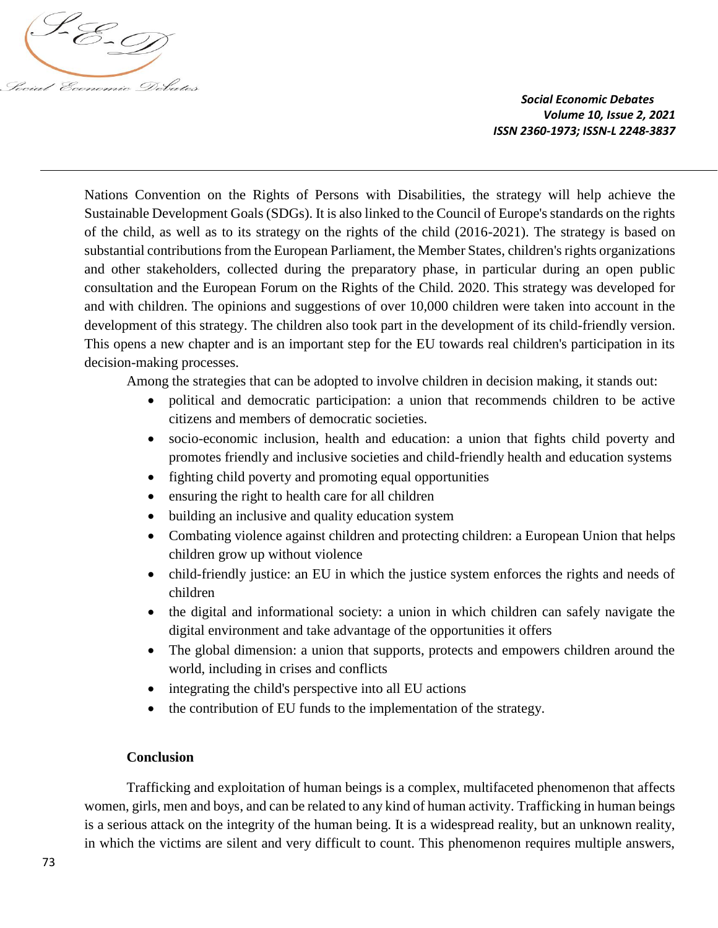

Nations Convention on the Rights of Persons with Disabilities, the strategy will help achieve the Sustainable Development Goals (SDGs). It is also linked to the Council of Europe's standards on the rights of the child, as well as to its strategy on the rights of the child (2016-2021). The strategy is based on substantial contributions from the European Parliament, the Member States, children's rights organizations and other stakeholders, collected during the preparatory phase, in particular during an open public consultation and the European Forum on the Rights of the Child. 2020. This strategy was developed for and with children. The opinions and suggestions of over 10,000 children were taken into account in the development of this strategy. The children also took part in the development of its child-friendly version. This opens a new chapter and is an important step for the EU towards real children's participation in its decision-making processes.

Among the strategies that can be adopted to involve children in decision making, it stands out:

- political and democratic participation: a union that recommends children to be active citizens and members of democratic societies.
- socio-economic inclusion, health and education: a union that fights child poverty and promotes friendly and inclusive societies and child-friendly health and education systems
- fighting child poverty and promoting equal opportunities
- ensuring the right to health care for all children
- building an inclusive and quality education system
- Combating violence against children and protecting children: a European Union that helps children grow up without violence
- child-friendly justice: an EU in which the justice system enforces the rights and needs of children
- the digital and informational society: a union in which children can safely navigate the digital environment and take advantage of the opportunities it offers
- The global dimension: a union that supports, protects and empowers children around the world, including in crises and conflicts
- integrating the child's perspective into all EU actions
- the contribution of EU funds to the implementation of the strategy.

## **Conclusion**

Trafficking and exploitation of human beings is a complex, multifaceted phenomenon that affects women, girls, men and boys, and can be related to any kind of human activity. Trafficking in human beings is a serious attack on the integrity of the human being. It is a widespread reality, but an unknown reality, in which the victims are silent and very difficult to count. This phenomenon requires multiple answers,